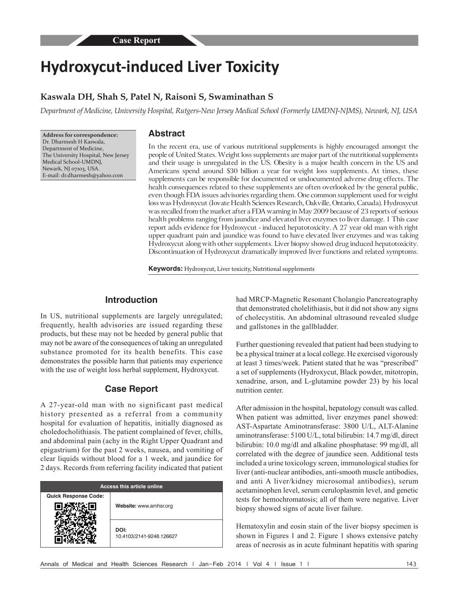# **Hydroxycut‑induced Liver Toxicity**

## **Kaswala DH, Shah S, Patel N, Raisoni S, Swaminathan S**

*Department of Medicine, University Hospital, Rutgers-New Jersey Medical School (Formerly UMDNJ-NJMS), Newark, NJ, USA*

**Address for correspondence:** Dr. Dharmesh H Kaswala, Department of Medicine, The University Hospital, New Jersey Medical School‑UMDNJ, Newark, NJ 07103, USA. E‑mail: dr.dharmesh@yahoo.com

### **Abstract**

In the recent era, use of various nutritional supplements is highly encouraged amongst the people of United States. Weight loss supplements are major part of the nutritional supplements and their usage is unregulated in the US. Obesity is a major health concern in the US and Americans spend around \$30 billion a year for weight loss supplements. At times, these supplements can be responsible for documented or undocumented adverse drug effects. The health consequences related to these supplements are often overlooked by the general public, even though FDA issues advisories regarding them. One common supplement used for weight loss was Hydroxycut(Iovate Health Sciences Research, Oakville, Ontario, Canada). Hydroxycut was recalled from the market after a FDA warning in May 2009 because of 23 reports of serious health problems ranging from jaundice and elevated liver enzymes to liver damage. 1 This case report adds evidence for Hydroxycut - induced hepatotoxicity. A 27 year old man with right upper quadrant pain and jaundice was found to have elevated liver enzymes and was taking Hydroxycut along with other supplements. Liver biopsy showed drug induced hepatotoxicity. Discontinuation of Hydroxycut dramatically improved liver functions and related symptoms.

**Keywords:** Hydroxycut, Liver toxicity, Nutritional supplements

#### **Introduction**

In US, nutritional supplements are largely unregulated; frequently, health advisories are issued regarding these products, but these may not be heeded by general public that may not be aware of the consequences of taking an unregulated substance promoted for its health benefits. This case demonstrates the possible harm that patients may experience with the use of weight loss herbal supplement, Hydroxycut.

#### **Case Report**

A 27-year-old man with no significant past medical history presented as a referral from a community hospital for evaluation of hepatitis, initially diagnosed as choledocholithiasis. The patient complained of fever, chills, and abdominal pain (achy in the Right Upper Quadrant and epigastrium) for the past 2 weeks, nausea, and vomiting of clear liquids without blood for a 1 week, and jaundice for 2 days. Records from referring facility indicated that patient

| <b>Access this article online</b> |                                  |
|-----------------------------------|----------------------------------|
| <b>Quick Response Code:</b>       | Website: www.amhsr.org           |
|                                   | DOI:<br>10.4103/2141-9248.126627 |

had MRCP-Magnetic Resonant Cholangio Pancreatography that demonstrated cholelithiasis, but it did not show any signs of cholecystitis. An abdominal ultrasound revealed sludge and gallstones in the gallbladder.

Further questioning revealed that patient had been studying to be a physical trainer at a local college. He exercised vigorously at least 3 times/week. Patient stated that he was "prescribed" a set of supplements (Hydroxycut, Black powder, mitotropin, xenadrine, arson, and L-glutamine powder 23) by his local nutrition center.

After admission in the hospital, hepatology consult was called. When patient was admitted, liver enzymes panel showed: AST-Aspartate Aminotransferase: 3800 U/L, ALT-Alanine aminotransferase: 5100 U/L, total bilirubin: 14.7 mg/dl, direct bilirubin: 10.0 mg/dl and alkaline phosphatase: 99 mg/dl, all correlated with the degree of jaundice seen. Additional tests included a urine toxicology screen, immunological studies for liver (anti-nuclear antibodies, anti-smooth muscle antibodies, and anti A liver/kidney microsomal antibodies), serum acetaminophen level, serum ceruloplasmin level, and genetic tests for hemochromatosis; all of them were negative. Liver biopsy showed signs of acute liver failure.

Hematoxylin and eosin stain of the liver biopsy specimen is shown in Figures 1 and 2. Figure 1 shows extensive patchy areas of necrosis as in acute fulminant hepatitis with sparing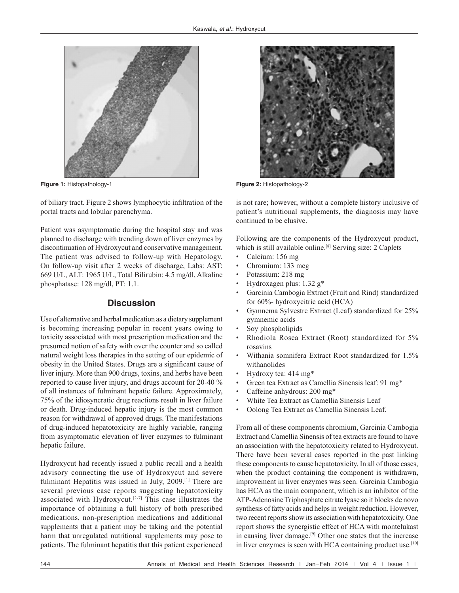

**Figure 1:** Histopathology‑1 **Figure 2:** Histopathology‑2

of biliary tract. Figure 2 shows lymphocytic infiltration of the portal tracts and lobular parenchyma.

Patient was asymptomatic during the hospital stay and was planned to discharge with trending down of liver enzymes by discontinuation of Hydroxycut and conservative management. The patient was advised to follow-up with Hepatology. On follow-up visit after 2 weeks of discharge, Labs: AST: 669 U/L, ALT: 1965 U/L, Total Bilirubin: 4.5 mg/dl, Alkaline phosphatase: 128 mg/dl, PT: 1.1.

#### **Discussion**

Use of alternative and herbal medication as a dietary supplement is becoming increasing popular in recent years owing to toxicity associated with most prescription medication and the presumed notion of safety with over the counter and so called natural weight loss therapies in the setting of our epidemic of obesity in the United States. Drugs are a significant cause of liver injury. More than 900 drugs, toxins, and herbs have been reported to cause liver injury, and drugs account for 20-40 % of all instances of fulminant hepatic failure. Approximately, 75% of the idiosyncratic drug reactions result in liver failure or death. Drug-induced hepatic injury is the most common reason for withdrawal of approved drugs. The manifestations of drug-induced hepatotoxicity are highly variable, ranging from asymptomatic elevation of liver enzymes to fulminant hepatic failure.

Hydroxycut had recently issued a public recall and a health advisory connecting the use of Hydroxycut and severe fulminant Hepatitis was issued in July, 2009.[1] There are several previous case reports suggesting hepatotoxicity associated with Hydroxycut.<sup>[2-7]</sup> This case illustrates the importance of obtaining a full history of both prescribed medications, non-prescription medications and additional supplements that a patient may be taking and the potential harm that unregulated nutritional supplements may pose to patients. The fulminant hepatitis that this patient experienced



is not rare; however, without a complete history inclusive of patient's nutritional supplements, the diagnosis may have continued to be elusive.

Following are the components of the Hydroxycut product, which is still available online.<sup>[8]</sup> Serving size: 2 Caplets

- Calcium: 156 mg
- Chromium: 133 mcg
- Potassium: 218 mg
- Hydroxagen plus:  $1.32$  g<sup>\*</sup>
- Garcinia Cambogia Extract (Fruit and Rind) standardized for 60%- hydroxycitric acid (HCA)
- Gymnema Sylvestre Extract (Leaf) standardized for 25% gymnemic acids
- Soy phospholipids
- Rhodiola Rosea Extract (Root) standardized for 5% rosavins
- Withania somnifera Extract Root standardized for 1.5% withanolides
- Hydroxy tea:  $414 \text{ mg}^*$
- Green tea Extract as Camellia Sinensis leaf: 91 mg\*
- • Caffeine anhydrous: 200 mg\*
- • White Tea Extract as Camellia Sinensis Leaf
- Oolong Tea Extract as Camellia Sinensis Leaf.

From all of these components chromium, Garcinia Cambogia Extract and Camellia Sinensis of tea extracts are found to have an association with the hepatotoxicity related to Hydroxycut. There have been several cases reported in the past linking these components to cause hepatotoxicity. In all of those cases, when the product containing the component is withdrawn, improvement in liver enzymes was seen. Garcinia Cambogia has HCA as the main component, which is an inhibitor of the ATP-Adenosine Triphosphate citrate lyase so it blocks de novo synthesis of fatty acids and helps in weight reduction. However, two recent reports show its association with hepatotoxicity. One report shows the synergistic effect of HCA with montelukast in causing liver damage.[9] Other one states that the increase in liver enzymes is seen with HCA containing product use.<sup>[10]</sup>